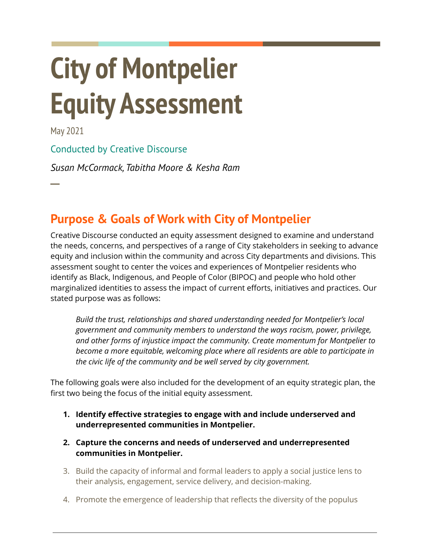# **City of Montpelier Equity Assessment**

May 2021

**─**

### Conducted by Creative [Discourse](https://www.creativediscourse.org/)

*Susan McCormack, Tabitha Moore & Kesha Ram*

# **Purpose & Goals of Work with City of Montpelier**

Creative Discourse conducted an equity assessment designed to examine and understand the needs, concerns, and perspectives of a range of City stakeholders in seeking to advance equity and inclusion within the community and across City departments and divisions. This assessment sought to center the voices and experiences of Montpelier residents who identify as Black, Indigenous, and People of Color (BIPOC) and people who hold other marginalized identities to assess the impact of current efforts, initiatives and practices. Our stated purpose was as follows:

*Build the trust, relationships and shared understanding needed for Montpelier's local government and community members to understand the ways racism, power, privilege, and other forms of injustice impact the community. Create momentum for Montpelier to become a more equitable, welcoming place where all residents are able to participate in the civic life of the community and be well served by city government.*

The following goals were also included for the development of an equity strategic plan, the first two being the focus of the initial equity assessment.

- **1. Identify effective strategies to engage with and include underserved and underrepresented communities in Montpelier.**
- **2. Capture the concerns and needs of underserved and underrepresented communities in Montpelier.**
- 3. Build the capacity of informal and formal leaders to apply a social justice lens to their analysis, engagement, service delivery, and decision-making.
- 4. Promote the emergence of leadership that reflects the diversity of the populus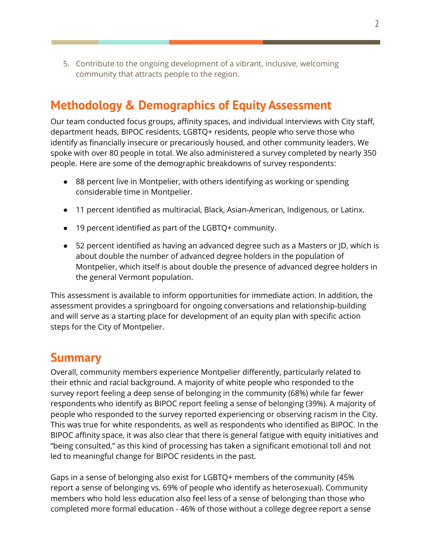5. Contribute to the ongoing development of a vibrant, inclusive, welcoming community that attracts people to the region.

## **Methodology & Demographics of Equity Assessment**

Our team conducted focus groups, affinity spaces, and individual interviews with City staff, department heads, BIPOC residents, LGBTQ+ residents, people who serve those who identify as financially insecure or precariously housed, and other community leaders. We spoke with over 80 people in total. We also administered a survey completed by nearly 350 people. Here are some of the demographic breakdowns of survey respondents:

- 88 percent live in Montpelier, with others identifying as working or spending considerable time in Montpelier.
- 11 percent identified as multiracial, Black, Asian-American, Indigenous, or Latinx.
- 19 percent identified as part of the LGBTQ+ community.
- 52 percent identified as having an advanced degree such as a Masters or ID, which is about double the number of advanced degree holders in the population of Montpelier, which itself is about double the presence of advanced degree holders in the general Vermont population.

This assessment is available to inform opportunities for immediate action. In addition, the assessment provides a springboard for ongoing conversations and relationship-building and will serve as a starting place for development of an equity plan with specific action steps for the City of Montpelier.

## **Summary**

Overall, community members experience Montpelier differently, particularly related to their ethnic and racial background. A majority of white people who responded to the survey report feeling a deep sense of belonging in the community (68%) while far fewer respondents who identify as BIPOC report feeling a sense of belonging (39%). A majority of people who responded to the survey reported experiencing or observing racism in the City. This was true for white respondents, as well as respondents who identified as BIPOC. In the BIPOC affinity space, it was also clear that there is general fatigue with equity initiatives and "being consulted," as this kind of processing has taken a significant emotional toll and not led to meaningful change for BIPOC residents in the past.

Gaps in a sense of belonging also exist for LGBTQ+ members of the community (45% report a sense of belonging vs. 69% of people who identify as heterosexual). Community members who hold less education also feel less of a sense of belonging than those who completed more formal education - 46% of those without a college degree report a sense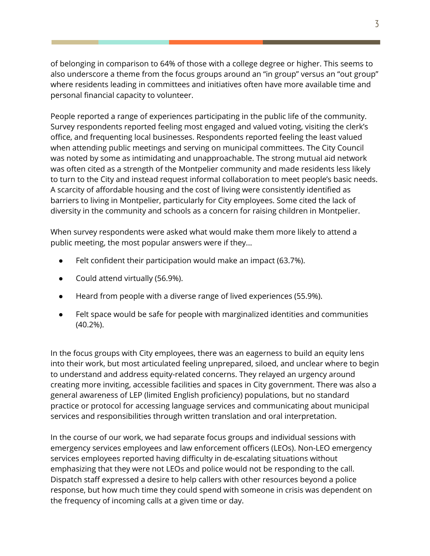of belonging in comparison to 64% of those with a college degree or higher. This seems to also underscore a theme from the focus groups around an "in group" versus an "out group" where residents leading in committees and initiatives often have more available time and personal financial capacity to volunteer.

People reported a range of experiences participating in the public life of the community. Survey respondents reported feeling most engaged and valued voting, visiting the clerk's office, and frequenting local businesses. Respondents reported feeling the least valued when attending public meetings and serving on municipal committees. The City Council was noted by some as intimidating and unapproachable. The strong mutual aid network was often cited as a strength of the Montpelier community and made residents less likely to turn to the City and instead request informal collaboration to meet people's basic needs. A scarcity of affordable housing and the cost of living were consistently identified as barriers to living in Montpelier, particularly for City employees. Some cited the lack of diversity in the community and schools as a concern for raising children in Montpelier.

When survey respondents were asked what would make them more likely to attend a public meeting, the most popular answers were if they...

- Felt confident their participation would make an impact (63.7%).
- Could attend virtually (56.9%).
- Heard from people with a diverse range of lived experiences (55.9%).
- Felt space would be safe for people with marginalized identities and communities (40.2%).

In the focus groups with City employees, there was an eagerness to build an equity lens into their work, but most articulated feeling unprepared, siloed, and unclear where to begin to understand and address equity-related concerns. They relayed an urgency around creating more inviting, accessible facilities and spaces in City government. There was also a general awareness of LEP (limited English proficiency) populations, but no standard practice or protocol for accessing language services and communicating about municipal services and responsibilities through written translation and oral interpretation.

In the course of our work, we had separate focus groups and individual sessions with emergency services employees and law enforcement officers (LEOs). Non-LEO emergency services employees reported having difficulty in de-escalating situations without emphasizing that they were not LEOs and police would not be responding to the call. Dispatch staff expressed a desire to help callers with other resources beyond a police response, but how much time they could spend with someone in crisis was dependent on the frequency of incoming calls at a given time or day.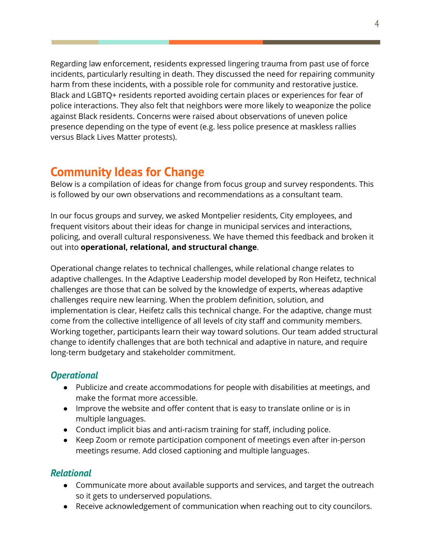Regarding law enforcement, residents expressed lingering trauma from past use of force incidents, particularly resulting in death. They discussed the need for repairing community harm from these incidents, with a possible role for community and restorative justice. Black and LGBTQ+ residents reported avoiding certain places or experiences for fear of police interactions. They also felt that neighbors were more likely to weaponize the police against Black residents. Concerns were raised about observations of uneven police presence depending on the type of event (e.g. less police presence at maskless rallies versus Black Lives Matter protests).

## **Community Ideas for Change**

Below is a compilation of ideas for change from focus group and survey respondents. This is followed by our own observations and recommendations as a consultant team.

In our focus groups and survey, we asked Montpelier residents, City employees, and frequent visitors about their ideas for change in municipal services and interactions, policing, and overall cultural responsiveness. We have themed this feedback and broken it out into **operational, relational, and structural change**.

Operational change relates to technical challenges, while relational change relates to adaptive challenges. In the Adaptive Leadership model developed by Ron Heifetz, technical challenges are those that can be solved by the knowledge of experts, whereas adaptive challenges require new learning. When the problem definition, solution, and implementation is clear, Heifetz calls this technical change. For the adaptive, change must come from the collective intelligence of all levels of city staff and community members. Working together, participants learn their way toward solutions. Our team added structural change to identify challenges that are both technical and adaptive in nature, and require long-term budgetary and stakeholder commitment.

#### *Operational*

- Publicize and create accommodations for people with disabilities at meetings, and make the format more accessible.
- Improve the website and offer content that is easy to translate online or is in multiple languages.
- Conduct implicit bias and anti-racism training for staff, including police.
- Keep Zoom or remote participation component of meetings even after in-person meetings resume. Add closed captioning and multiple languages.

#### *Relational*

- Communicate more about available supports and services, and target the outreach so it gets to underserved populations.
- Receive acknowledgement of communication when reaching out to city councilors.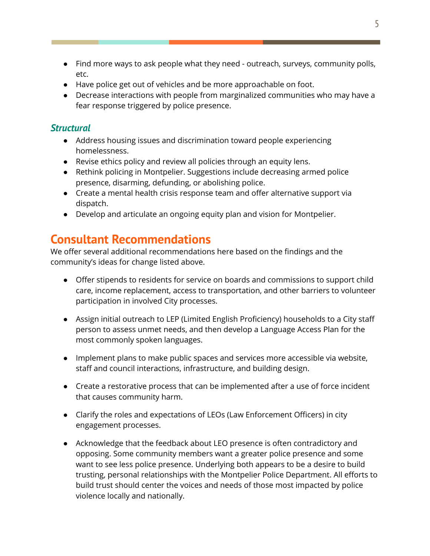- Find more ways to ask people what they need outreach, surveys, community polls, etc.
- Have police get out of vehicles and be more approachable on foot.
- Decrease interactions with people from marginalized communities who may have a fear response triggered by police presence.

#### *Structural*

- Address housing issues and discrimination toward people experiencing homelessness.
- Revise ethics policy and review all policies through an equity lens.
- Rethink policing in Montpelier. Suggestions include decreasing armed police presence, disarming, defunding, or abolishing police.
- Create a mental health crisis response team and offer alternative support via dispatch.
- **●** Develop and articulate an ongoing equity plan and vision for Montpelier.

## **Consultant Recommendations**

We offer several additional recommendations here based on the findings and the community's ideas for change listed above.

- Offer stipends to residents for service on boards and commissions to support child care, income replacement, access to transportation, and other barriers to volunteer participation in involved City processes.
- Assign initial outreach to LEP (Limited English Proficiency) households to a City staff person to assess unmet needs, and then develop a Language Access Plan for the most commonly spoken languages.
- Implement plans to make public spaces and services more accessible via website, staff and council interactions, infrastructure, and building design.
- Create a restorative process that can be implemented after a use of force incident that causes community harm.
- Clarify the roles and expectations of LEOs (Law Enforcement Officers) in city engagement processes.
- Acknowledge that the feedback about LEO presence is often contradictory and opposing. Some community members want a greater police presence and some want to see less police presence. Underlying both appears to be a desire to build trusting, personal relationships with the Montpelier Police Department. All efforts to build trust should center the voices and needs of those most impacted by police violence locally and nationally.